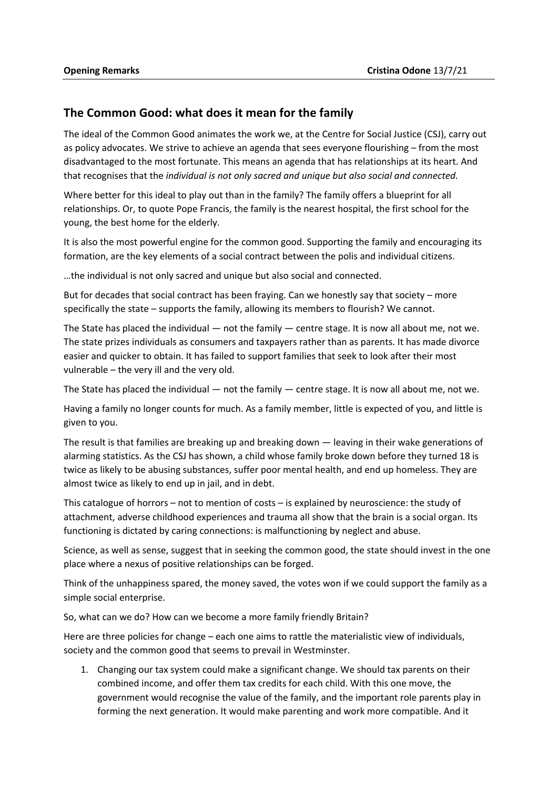## **The Common Good: what does it mean for the family**

The ideal of the Common Good animates the work we, at the Centre for Social Justice (CSJ), carry out as policy advocates. We strive to achieve an agenda that sees everyone flourishing – from the most disadvantaged to the most fortunate. This means an agenda that has relationships at its heart. And that recognises that the *individual is not only sacred and unique but also social and connected.* 

Where better for this ideal to play out than in the family? The family offers a blueprint for all relationships. Or, to quote Pope Francis, the family is the nearest hospital, the first school for the young, the best home for the elderly.

It is also the most powerful engine for the common good. Supporting the family and encouraging its formation, are the key elements of a social contract between the polis and individual citizens.

…the individual is not only sacred and unique but also social and connected.

But for decades that social contract has been fraying. Can we honestly say that society – more specifically the state – supports the family, allowing its members to flourish? We cannot.

The State has placed the individual — not the family — centre stage. It is now all about me, not we. The state prizes individuals as consumers and taxpayers rather than as parents. It has made divorce easier and quicker to obtain. It has failed to support families that seek to look after their most vulnerable – the very ill and the very old.

The State has placed the individual — not the family — centre stage. It is now all about me, not we.

Having a family no longer counts for much. As a family member, little is expected of you, and little is given to you.

The result is that families are breaking up and breaking down — leaving in their wake generations of alarming statistics. As the CSJ has shown, a child whose family broke down before they turned 18 is twice as likely to be abusing substances, suffer poor mental health, and end up homeless. They are almost twice as likely to end up in jail, and in debt.

This catalogue of horrors – not to mention of costs – is explained by neuroscience: the study of attachment, adverse childhood experiences and trauma all show that the brain is a social organ. Its functioning is dictated by caring connections: is malfunctioning by neglect and abuse.

Science, as well as sense, suggest that in seeking the common good, the state should invest in the one place where a nexus of positive relationships can be forged.

Think of the unhappiness spared, the money saved, the votes won if we could support the family as a simple social enterprise.

So, what can we do? How can we become a more family friendly Britain?

Here are three policies for change – each one aims to rattle the materialistic view of individuals, society and the common good that seems to prevail in Westminster.

1. Changing our tax system could make a significant change. We should tax parents on their combined income, and offer them tax credits for each child. With this one move, the government would recognise the value of the family, and the important role parents play in forming the next generation. It would make parenting and work more compatible. And it